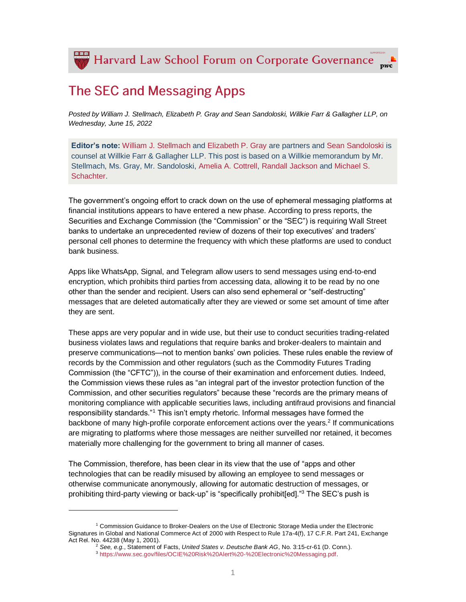## **The SEC and Messaging Apps**

*Posted by William J. Stellmach, Elizabeth P. Gray and Sean Sandoloski, Willkie Farr & Gallagher LLP, on Wednesday, June 15, 2022*

**Editor's note:** [William J. Stellmach](https://www.willkie.com/professionals/s/stellmach-william) and [Elizabeth P. Gray](https://www.willkie.com/professionals/g/gray-elizabeth-p) are partners and [Sean Sandoloski](https://www.willkie.com/professionals/s/sandoloski-sean) is counsel at Willkie Farr & Gallagher LLP. This post is based on a Willkie memorandum by Mr. Stellmach, Ms. Gray, Mr. Sandoloski, [Amelia A. Cottrell,](https://www.willkie.com/professionals/c/cottrell-amelia) [Randall Jackson](https://www.willkie.com/professionals/j/jackson-randall) and [Michael S.](https://www.willkie.com/professionals/s/schachter-michael-s)  [Schachter.](https://www.willkie.com/professionals/s/schachter-michael-s)

The government's ongoing effort to crack down on the use of ephemeral messaging platforms at financial institutions appears to have entered a new phase. According to press reports, the Securities and Exchange Commission (the "Commission" or the "SEC") is requiring Wall Street banks to undertake an unprecedented review of dozens of their top executives' and traders' personal cell phones to determine the frequency with which these platforms are used to conduct bank business.

Apps like WhatsApp, Signal, and Telegram allow users to send messages using end-to-end encryption, which prohibits third parties from accessing data, allowing it to be read by no one other than the sender and recipient. Users can also send ephemeral or "self-destructing" messages that are deleted automatically after they are viewed or some set amount of time after they are sent.

These apps are very popular and in wide use, but their use to conduct securities trading-related business violates laws and regulations that require banks and broker-dealers to maintain and preserve communications—not to mention banks' own policies. These rules enable the review of records by the Commission and other regulators (such as the Commodity Futures Trading Commission (the "CFTC")), in the course of their examination and enforcement duties. Indeed, the Commission views these rules as "an integral part of the investor protection function of the Commission, and other securities regulators" because these "records are the primary means of monitoring compliance with applicable securities laws, including antifraud provisions and financial responsibility standards."<sup>1</sup> This isn't empty rhetoric. Informal messages have formed the backbone of many high-profile corporate enforcement actions over the years.<sup>2</sup> If communications are migrating to platforms where those messages are neither surveilled nor retained, it becomes materially more challenging for the government to bring all manner of cases.

The Commission, therefore, has been clear in its view that the use of "apps and other technologies that can be readily misused by allowing an employee to send messages or otherwise communicate anonymously, allowing for automatic destruction of messages, or prohibiting third-party viewing or back-up" is "specifically prohibit[ed]."<sup>3</sup> The SEC's push is

l

<sup>1</sup> Commission Guidance to Broker-Dealers on the Use of Electronic Storage Media under the Electronic Signatures in Global and National Commerce Act of 2000 with Respect to Rule 17a-4(f), 17 C.F.R. Part 241, Exchange Act Rel. No. 44238 (May 1, 2001).

<sup>2</sup> *See, e.g.*, Statement of Facts, *United States v. Deutsche Bank AG*, No. 3:15-cr-61 (D. Conn.).

<sup>3</sup> [https://www.sec.gov/files/OCIE%20Risk%20Alert%20-%20Electronic%20Messaging.pdf.](https://www.sec.gov/files/OCIE%20Risk%20Alert%20-%20Electronic%20Messaging.pdf)